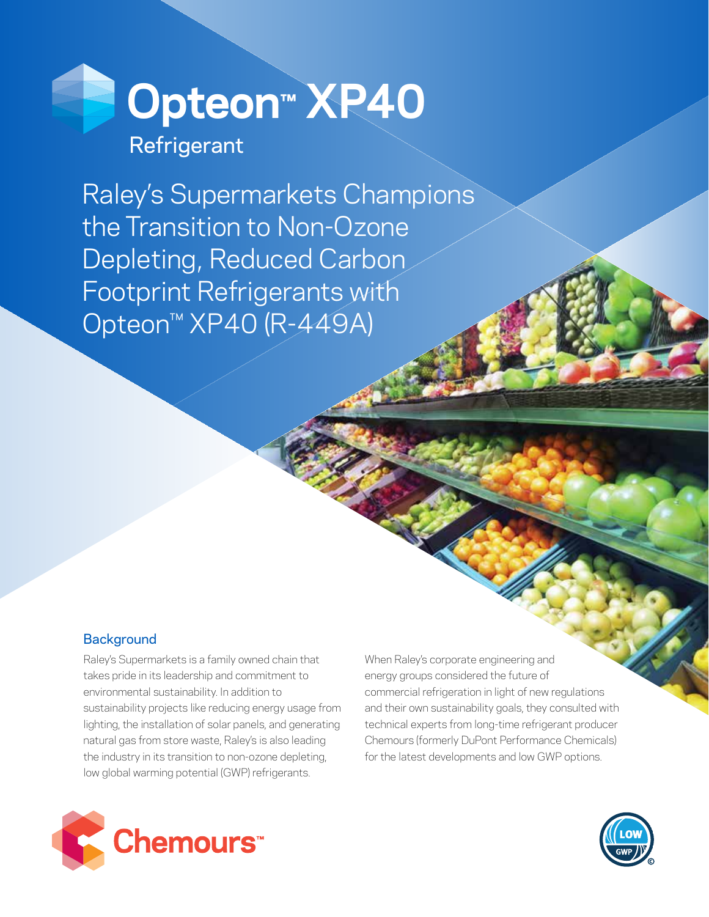

Raley's Supermarkets Champions the Transition to Non-Ozone Depleting, Reduced Carbon Footprint Refrigerants with Opteon™ XP40 (R-449A)

# **Background**

Raley's Supermarkets is a family owned chain that takes pride in its leadership and commitment to environmental sustainability. In addition to sustainability projects like reducing energy usage from lighting, the installation of solar panels, and generating natural gas from store waste, Raley's is also leading the industry in its transition to non-ozone depleting, low global warming potential (GWP) refrigerants.

hemours<sup>\*</sup>

When Raley's corporate engineering and energy groups considered the future of commercial refrigeration in light of new regulations and their own sustainability goals, they consulted with technical experts from long-time refrigerant producer Chemours (formerly DuPont Performance Chemicals) for the latest developments and low GWP options.

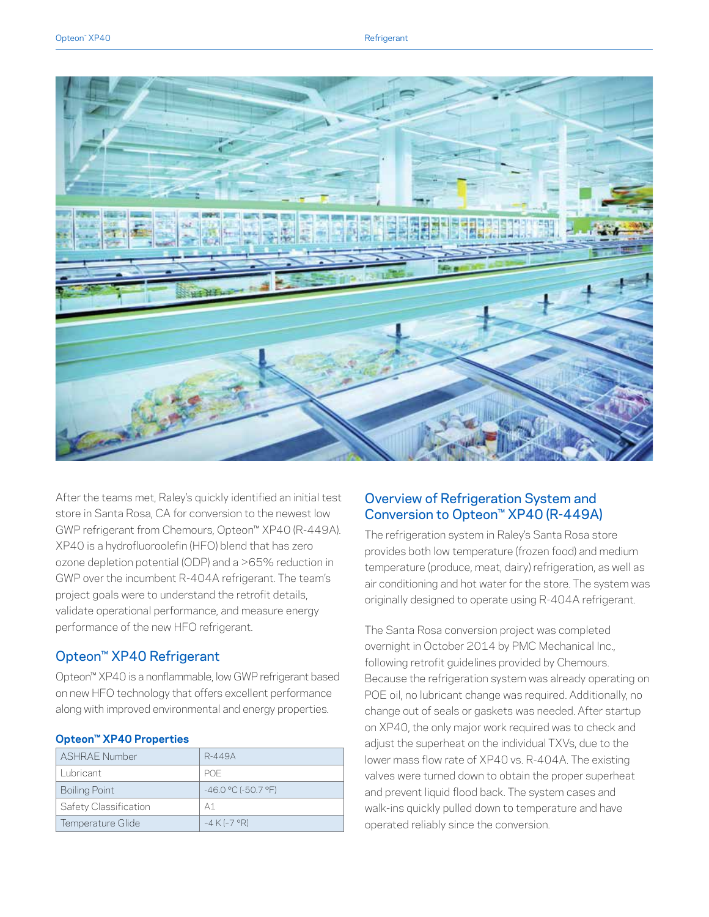

After the teams met, Raley's quickly identified an initial test store in Santa Rosa, CA for conversion to the newest low GWP refrigerant from Chemours, Opteon™ XP40 (R-449A). XP40 is a hydrofluoroolefin (HFO) blend that has zero ozone depletion potential (ODP) and a >65% reduction in GWP over the incumbent R-404A refrigerant. The team's project goals were to understand the retrofit details, validate operational performance, and measure energy performance of the new HFO refrigerant.

## Opteon™ XP40 Refrigerant

Opteon™ XP40 is a nonflammable, low GWP refrigerant based on new HFO technology that offers excellent performance along with improved environmental and energy properties.

| <b>ASHRAF Number</b>  | R-449A                   |  |
|-----------------------|--------------------------|--|
| Lubricant             | <b>POF</b>               |  |
| Boiling Point         | $-46.0$ °C ( $-50.7$ °F) |  |
| Safety Classification | А1                       |  |
| Temperature Glide     | $-4$ K ( $-7$ °R)        |  |

#### **Opteon™ XP40 Properties**

## Overview of Refrigeration System and Conversion to Opteon™ XP40 (R-449A)

The refrigeration system in Raley's Santa Rosa store provides both low temperature (frozen food) and medium temperature (produce, meat, dairy) refrigeration, as well as air conditioning and hot water for the store. The system was originally designed to operate using R-404A refrigerant.

The Santa Rosa conversion project was completed overnight in October 2014 by PMC Mechanical Inc., following retrofit guidelines provided by Chemours. Because the refrigeration system was already operating on POE oil, no lubricant change was required. Additionally, no change out of seals or gaskets was needed. After startup on XP40, the only major work required was to check and adjust the superheat on the individual TXVs, due to the lower mass flow rate of XP40 vs. R-404A. The existing valves were turned down to obtain the proper superheat and prevent liquid flood back. The system cases and walk-ins quickly pulled down to temperature and have operated reliably since the conversion.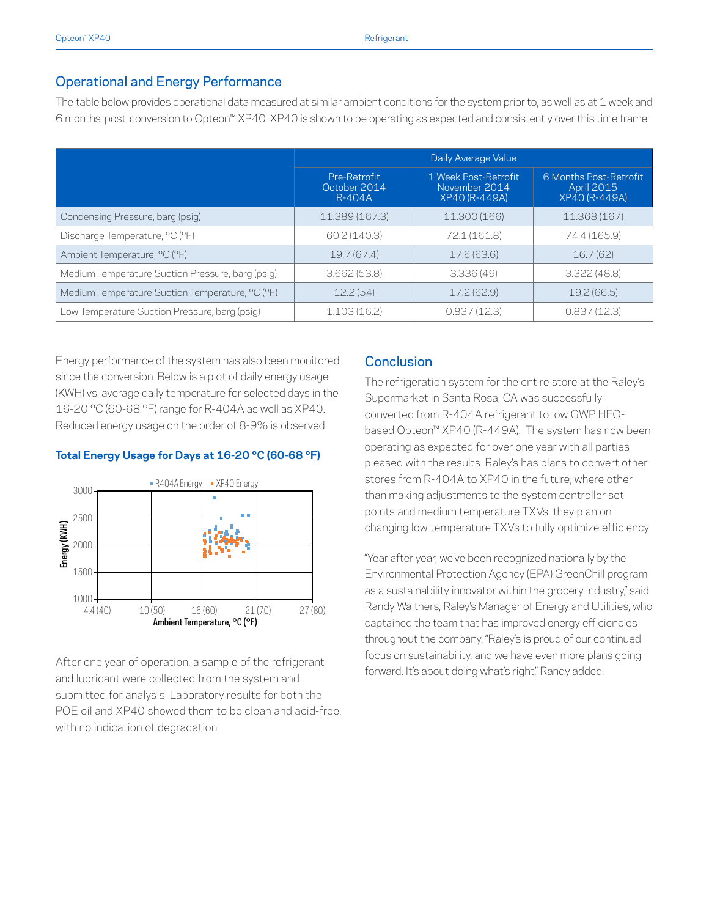### Operational and Energy Performance

The table below provides operational data measured at similar ambient conditions for the system prior to, as well as at 1 week and 6 months, post-conversion to Opteon™ XP40. XP40 is shown to be operating as expected and consistently over this time frame.

|                                                  | Daily Average Value                    |                                                        |                                                              |
|--------------------------------------------------|----------------------------------------|--------------------------------------------------------|--------------------------------------------------------------|
|                                                  | Pre-Retrofit<br>October 2014<br>R-404A | 1 Week Post-Retrofit<br>November 2014<br>XP40 (R-449A) | 6 Months Post-Retrofit<br>April 2015<br><b>XP40 (R-449A)</b> |
| Condensing Pressure, barg (psig)                 | 11.389 (167.3)                         | 11.300 (166)                                           | 11.368 (167)                                                 |
| Discharge Temperature, °C (°F)                   | 60.2(140.3)                            | 72.1 (161.8)                                           | 74.4 (165.9)                                                 |
| Ambient Temperature, °C (°F)                     | 19.7(67.4)                             | 17.6 (63.6)                                            | 16.7(62)                                                     |
| Medium Temperature Suction Pressure, barg (psig) | 3.662(53.8)                            | 3.336(49)                                              | 3.322(48.8)                                                  |
| Medium Temperature Suction Temperature, °C (°F)  | 12.2(54)                               | 17.2(62.9)                                             | 19.2(66.5)                                                   |
| Low Temperature Suction Pressure, barg (psig)    | 1.103(16.2)                            | 0.837(12.3)                                            | 0.837(12.3)                                                  |

Energy performance of the system has also been monitored since the conversion. Below is a plot of daily energy usage (KWH) vs. average daily temperature for selected days in the 16-20 °C (60-68 °F) range for R-404A as well as XP40. Reduced energy usage on the order of 8-9% is observed.

#### **Total Energy Usage for Days at 16-20 °C (60-68 °F)**



After one year of operation, a sample of the refrigerant and lubricant were collected from the system and submitted for analysis. Laboratory results for both the POE oil and XP40 showed them to be clean and acid-free, with no indication of degradation.

#### **Conclusion**

The refrigeration system for the entire store at the Raley's Supermarket in Santa Rosa, CA was successfully converted from R-404A refrigerant to low GWP HFObased Opteon™ XP40 (R-449A). The system has now been operating as expected for over one year with all parties pleased with the results. Raley's has plans to convert other stores from R-404A to XP40 in the future; where other than making adjustments to the system controller set points and medium temperature TXVs, they plan on changing low temperature TXVs to fully optimize efficiency.

"Year after year, we've been recognized nationally by the Environmental Protection Agency (EPA) GreenChill program as a sustainability innovator within the grocery industry" said Randy Walthers, Raley's Manager of Energy and Utilities, who captained the team that has improved energy efficiencies throughout the company. "Raley's is proud of our continued focus on sustainability, and we have even more plans going forward. It's about doing what's right," Randy added.